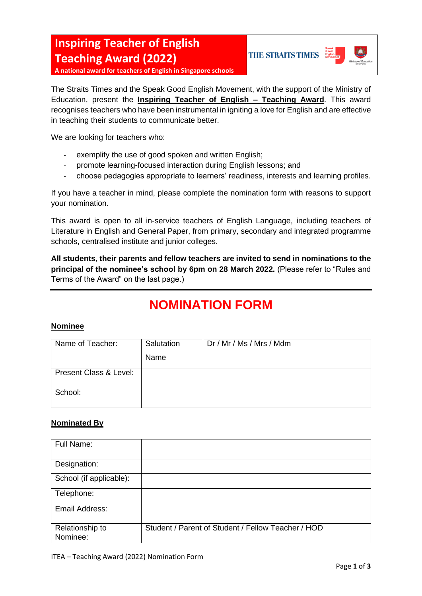

**A national award for teachers of English in Singapore schools**

The Straits Times and the Speak Good English Movement, with the support of the Ministry of Education, present the **Inspiring Teacher of English – Teaching Award**. This award recognises teachers who have been instrumental in igniting a love for English and are effective in teaching their students to communicate better.

We are looking for teachers who:

- exemplify the use of good spoken and written English;
- promote learning-focused interaction during English lessons; and
- choose pedagogies appropriate to learners' readiness, interests and learning profiles.

If you have a teacher in mind, please complete the nomination form with reasons to support your nomination.

This award is open to all in-service teachers of English Language, including teachers of Literature in English and General Paper, from primary, secondary and integrated programme schools, centralised institute and junior colleges.

**All students, their parents and fellow teachers are invited to send in nominations to the principal of the nominee's school by 6pm on 28 March 2022.** (Please refer to "Rules and Terms of the Award" on the last page.)

# **NOMINATION FORM**

#### **Nominee**

| Name of Teacher:       | Salutation | Dr / Mr / Ms / Mrs / Mdm |
|------------------------|------------|--------------------------|
|                        | Name       |                          |
| Present Class & Level: |            |                          |
| School:                |            |                          |

#### **Nominated By**

| Full Name:                  |                                                    |
|-----------------------------|----------------------------------------------------|
| Designation:                |                                                    |
| School (if applicable):     |                                                    |
| Telephone:                  |                                                    |
| Email Address:              |                                                    |
| Relationship to<br>Nominee: | Student / Parent of Student / Fellow Teacher / HOD |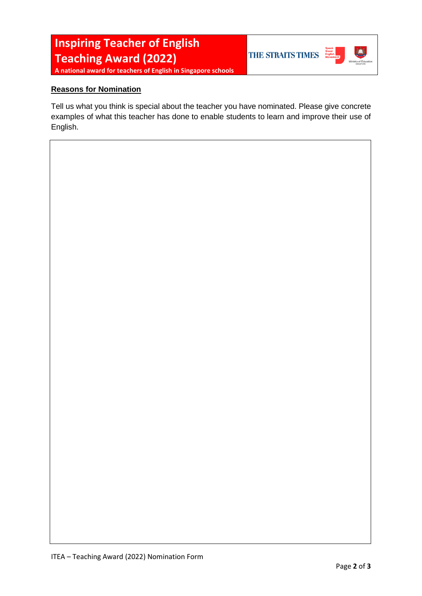THE STRAITS TIMES



**A national award for teachers of English in Singapore schools**

### **Reasons for Nomination**

Tell us what you think is special about the teacher you have nominated. Please give concrete examples of what this teacher has done to enable students to learn and improve their use of English.